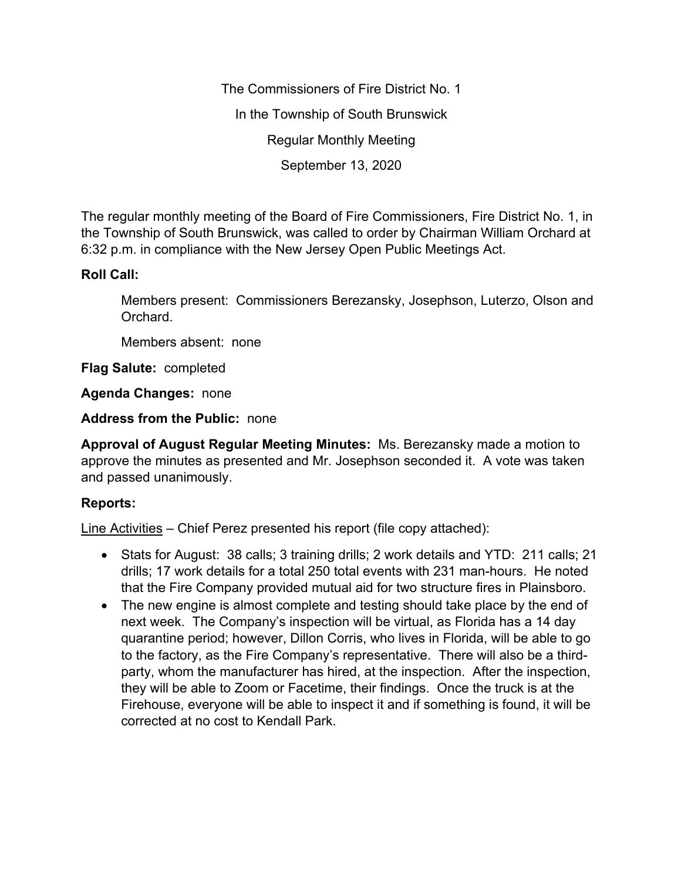The Commissioners of Fire District No. 1 In the Township of South Brunswick Regular Monthly Meeting September 13, 2020

The regular monthly meeting of the Board of Fire Commissioners, Fire District No. 1, in the Township of South Brunswick, was called to order by Chairman William Orchard at 6:32 p.m. in compliance with the New Jersey Open Public Meetings Act.

## **Roll Call:**

Members present: Commissioners Berezansky, Josephson, Luterzo, Olson and Orchard.

Members absent: none

**Flag Salute:** completed

**Agenda Changes:** none

**Address from the Public:** none

**Approval of August Regular Meeting Minutes:** Ms. Berezansky made a motion to approve the minutes as presented and Mr. Josephson seconded it. A vote was taken and passed unanimously.

## **Reports:**

Line Activities – Chief Perez presented his report (file copy attached):

- Stats for August: 38 calls; 3 training drills; 2 work details and YTD: 211 calls; 21 drills; 17 work details for a total 250 total events with 231 man-hours. He noted that the Fire Company provided mutual aid for two structure fires in Plainsboro.
- The new engine is almost complete and testing should take place by the end of next week. The Company's inspection will be virtual, as Florida has a 14 day quarantine period; however, Dillon Corris, who lives in Florida, will be able to go to the factory, as the Fire Company's representative. There will also be a thirdparty, whom the manufacturer has hired, at the inspection. After the inspection, they will be able to Zoom or Facetime, their findings. Once the truck is at the Firehouse, everyone will be able to inspect it and if something is found, it will be corrected at no cost to Kendall Park.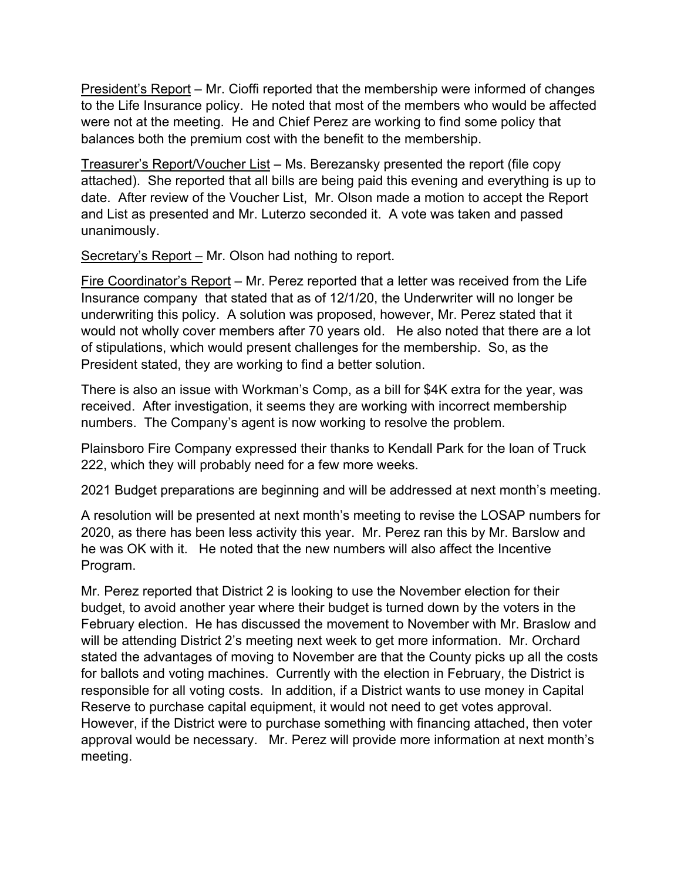President's Report – Mr. Cioffi reported that the membership were informed of changes to the Life Insurance policy. He noted that most of the members who would be affected were not at the meeting. He and Chief Perez are working to find some policy that balances both the premium cost with the benefit to the membership.

Treasurer's Report/Voucher List – Ms. Berezansky presented the report (file copy attached). She reported that all bills are being paid this evening and everything is up to date. After review of the Voucher List, Mr. Olson made a motion to accept the Report and List as presented and Mr. Luterzo seconded it. A vote was taken and passed unanimously.

Secretary's Report – Mr. Olson had nothing to report.

Fire Coordinator's Report – Mr. Perez reported that a letter was received from the Life Insurance company that stated that as of 12/1/20, the Underwriter will no longer be underwriting this policy. A solution was proposed, however, Mr. Perez stated that it would not wholly cover members after 70 years old. He also noted that there are a lot of stipulations, which would present challenges for the membership. So, as the President stated, they are working to find a better solution.

There is also an issue with Workman's Comp, as a bill for \$4K extra for the year, was received. After investigation, it seems they are working with incorrect membership numbers. The Company's agent is now working to resolve the problem.

Plainsboro Fire Company expressed their thanks to Kendall Park for the loan of Truck 222, which they will probably need for a few more weeks.

2021 Budget preparations are beginning and will be addressed at next month's meeting.

A resolution will be presented at next month's meeting to revise the LOSAP numbers for 2020, as there has been less activity this year. Mr. Perez ran this by Mr. Barslow and he was OK with it. He noted that the new numbers will also affect the Incentive Program.

Mr. Perez reported that District 2 is looking to use the November election for their budget, to avoid another year where their budget is turned down by the voters in the February election. He has discussed the movement to November with Mr. Braslow and will be attending District 2's meeting next week to get more information. Mr. Orchard stated the advantages of moving to November are that the County picks up all the costs for ballots and voting machines. Currently with the election in February, the District is responsible for all voting costs. In addition, if a District wants to use money in Capital Reserve to purchase capital equipment, it would not need to get votes approval. However, if the District were to purchase something with financing attached, then voter approval would be necessary. Mr. Perez will provide more information at next month's meeting.